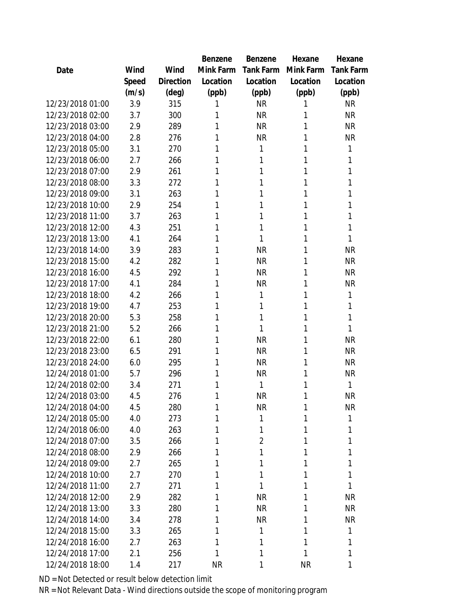|                  |       |           | Benzene   | Benzene          | Hexane    | Hexane           |
|------------------|-------|-----------|-----------|------------------|-----------|------------------|
| Date             | Wind  | Wind      | Mink Farm | <b>Tank Farm</b> | Mink Farm | <b>Tank Farm</b> |
|                  | Speed | Direction | Location  | Location         | Location  | Location         |
|                  | (m/s) | (deg)     | (ppb)     | (ppb)            | (ppb)     | (ppb)            |
| 12/23/2018 01:00 | 3.9   | 315       | 1         | <b>NR</b>        | 1         | <b>NR</b>        |
| 12/23/2018 02:00 | 3.7   | 300       | 1         | <b>NR</b>        | 1         | <b>NR</b>        |
| 12/23/2018 03:00 | 2.9   | 289       | 1         | <b>NR</b>        | 1         | <b>NR</b>        |
| 12/23/2018 04:00 | 2.8   | 276       | 1         | <b>NR</b>        | 1         | <b>NR</b>        |
| 12/23/2018 05:00 | 3.1   | 270       | 1         | 1                | 1         | 1                |
| 12/23/2018 06:00 | 2.7   | 266       | 1         | 1                | 1         | 1                |
| 12/23/2018 07:00 | 2.9   | 261       | 1         | 1                | 1         | 1                |
| 12/23/2018 08:00 | 3.3   | 272       | 1         | 1                | 1         | 1                |
| 12/23/2018 09:00 | 3.1   | 263       | 1         | 1                | 1         | 1                |
| 12/23/2018 10:00 | 2.9   | 254       | 1         | 1                | 1         | 1                |
| 12/23/2018 11:00 | 3.7   | 263       | 1         | 1                | 1         | 1                |
| 12/23/2018 12:00 | 4.3   | 251       | 1         | 1                | 1         | 1                |
| 12/23/2018 13:00 | 4.1   | 264       | 1         | 1                | 1         | 1                |
| 12/23/2018 14:00 | 3.9   | 283       | 1         | <b>NR</b>        | 1         | <b>NR</b>        |
| 12/23/2018 15:00 | 4.2   | 282       | 1         | <b>NR</b>        | 1         | <b>NR</b>        |
| 12/23/2018 16:00 | 4.5   | 292       | 1         | <b>NR</b>        | 1         | <b>NR</b>        |
| 12/23/2018 17:00 | 4.1   | 284       | 1         | <b>NR</b>        | 1         | <b>NR</b>        |
| 12/23/2018 18:00 | 4.2   | 266       | 1         | 1                | 1         | 1                |
| 12/23/2018 19:00 | 4.7   | 253       | 1         | 1                | 1         | 1                |
| 12/23/2018 20:00 | 5.3   | 258       | 1         | 1                | 1         | 1                |
| 12/23/2018 21:00 | 5.2   | 266       | 1         | 1                | 1         | 1                |
| 12/23/2018 22:00 | 6.1   | 280       | 1         | <b>NR</b>        | 1         | <b>NR</b>        |
| 12/23/2018 23:00 | 6.5   | 291       | 1         | <b>NR</b>        | 1         | <b>NR</b>        |
| 12/23/2018 24:00 | 6.0   | 295       | 1         | <b>NR</b>        | 1         | <b>NR</b>        |
| 12/24/2018 01:00 | 5.7   | 296       | 1         | <b>NR</b>        | 1         | <b>NR</b>        |
| 12/24/2018 02:00 | 3.4   | 271       | 1         | 1                | 1         | 1                |
| 12/24/2018 03:00 | 4.5   | 276       | 1         | <b>NR</b>        | 1         | <b>NR</b>        |
| 12/24/2018 04:00 | 4.5   | 280       | 1         | <b>NR</b>        | 1         | <b>NR</b>        |
| 12/24/2018 05:00 | 4.0   | 273       | 1         | 1                | 1         | 1                |
| 12/24/2018 06:00 | 4.0   | 263       | 1         | 1                | 1         | 1                |
| 12/24/2018 07:00 | 3.5   | 266       | 1         | $\overline{2}$   | 1         | 1                |
| 12/24/2018 08:00 | 2.9   | 266       | 1         | 1                | 1         | 1                |
| 12/24/2018 09:00 | 2.7   | 265       | 1         | 1                | 1         | 1                |
| 12/24/2018 10:00 | 2.7   | 270       | 1         | 1                | 1         | 1                |
| 12/24/2018 11:00 | 2.7   | 271       | 1         | 1                | 1         | $\mathbf{1}$     |
| 12/24/2018 12:00 | 2.9   | 282       | 1         | <b>NR</b>        | 1         | <b>NR</b>        |
| 12/24/2018 13:00 | 3.3   | 280       | 1         | <b>NR</b>        | 1         | <b>NR</b>        |
| 12/24/2018 14:00 | 3.4   | 278       | 1         | <b>NR</b>        | 1         | <b>NR</b>        |
| 12/24/2018 15:00 | 3.3   | 265       | 1         | 1                | 1         | 1                |
| 12/24/2018 16:00 | 2.7   | 263       | 1         | 1                | 1         | 1                |
| 12/24/2018 17:00 | 2.1   | 256       | 1         | 1                | 1         | $\mathbf{1}$     |
| 12/24/2018 18:00 | 1.4   | 217       | <b>NR</b> | 1                | <b>NR</b> | 1                |
|                  |       |           |           |                  |           |                  |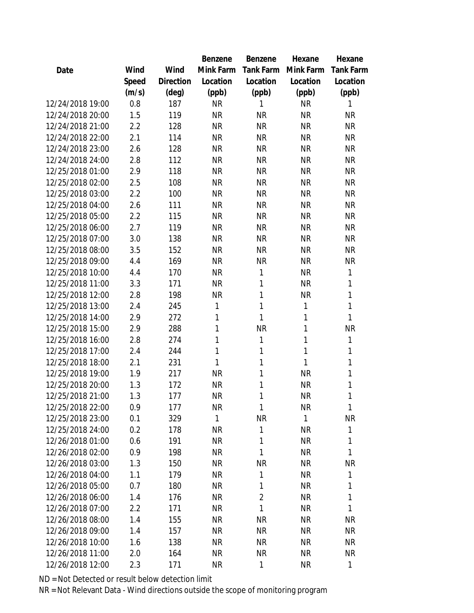|                  |       |                | Benzene   | Benzene        | Hexane    | Hexane           |
|------------------|-------|----------------|-----------|----------------|-----------|------------------|
| Date             | Wind  | Wind           | Mink Farm | Tank Farm      | Mink Farm | <b>Tank Farm</b> |
|                  | Speed | Direction      | Location  | Location       | Location  | Location         |
|                  | (m/s) | $(\text{deg})$ | (ppb)     | (ppb)          | (ppb)     | (ppb)            |
| 12/24/2018 19:00 | 0.8   | 187            | <b>NR</b> | 1              | <b>NR</b> | 1                |
| 12/24/2018 20:00 | 1.5   | 119            | <b>NR</b> | <b>NR</b>      | <b>NR</b> | <b>NR</b>        |
| 12/24/2018 21:00 | 2.2   | 128            | <b>NR</b> | <b>NR</b>      | <b>NR</b> | <b>NR</b>        |
| 12/24/2018 22:00 | 2.1   | 114            | <b>NR</b> | <b>NR</b>      | <b>NR</b> | <b>NR</b>        |
| 12/24/2018 23:00 | 2.6   | 128            | <b>NR</b> | <b>NR</b>      | <b>NR</b> | <b>NR</b>        |
| 12/24/2018 24:00 | 2.8   | 112            | <b>NR</b> | <b>NR</b>      | <b>NR</b> | <b>NR</b>        |
| 12/25/2018 01:00 | 2.9   | 118            | <b>NR</b> | <b>NR</b>      | <b>NR</b> | <b>NR</b>        |
| 12/25/2018 02:00 | 2.5   | 108            | <b>NR</b> | <b>NR</b>      | <b>NR</b> | <b>NR</b>        |
| 12/25/2018 03:00 | 2.2   | 100            | <b>NR</b> | <b>NR</b>      | <b>NR</b> | <b>NR</b>        |
| 12/25/2018 04:00 | 2.6   | 111            | <b>NR</b> | <b>NR</b>      | <b>NR</b> | <b>NR</b>        |
| 12/25/2018 05:00 | 2.2   | 115            | <b>NR</b> | <b>NR</b>      | <b>NR</b> | <b>NR</b>        |
| 12/25/2018 06:00 | 2.7   | 119            | <b>NR</b> | <b>NR</b>      | <b>NR</b> | <b>NR</b>        |
| 12/25/2018 07:00 | 3.0   | 138            | <b>NR</b> | <b>NR</b>      | <b>NR</b> | <b>NR</b>        |
| 12/25/2018 08:00 | 3.5   | 152            | <b>NR</b> | <b>NR</b>      | <b>NR</b> | <b>NR</b>        |
| 12/25/2018 09:00 | 4.4   | 169            | <b>NR</b> | <b>NR</b>      | <b>NR</b> | <b>NR</b>        |
| 12/25/2018 10:00 | 4.4   | 170            | <b>NR</b> | 1              | <b>NR</b> | 1                |
| 12/25/2018 11:00 | 3.3   | 171            | <b>NR</b> | 1              | <b>NR</b> | 1                |
| 12/25/2018 12:00 | 2.8   | 198            | <b>NR</b> | 1              | <b>NR</b> | 1                |
| 12/25/2018 13:00 | 2.4   | 245            | 1         | 1              | 1         | 1                |
| 12/25/2018 14:00 | 2.9   | 272            | 1         | 1              | 1         | 1                |
| 12/25/2018 15:00 | 2.9   | 288            | 1         | <b>NR</b>      | 1         | <b>NR</b>        |
| 12/25/2018 16:00 | 2.8   | 274            | 1         | 1              | 1         | 1                |
| 12/25/2018 17:00 | 2.4   | 244            | 1         | 1              | 1         | 1                |
| 12/25/2018 18:00 | 2.1   | 231            | 1         | 1              | 1         | 1                |
| 12/25/2018 19:00 | 1.9   | 217            | <b>NR</b> | 1              | <b>NR</b> | 1                |
| 12/25/2018 20:00 | 1.3   | 172            | <b>NR</b> | 1              | <b>NR</b> | 1                |
| 12/25/2018 21:00 | 1.3   | 177            | <b>NR</b> | 1              | <b>NR</b> | 1                |
| 12/25/2018 22:00 | 0.9   | 177            | <b>NR</b> | 1              | <b>NR</b> | 1                |
| 12/25/2018 23:00 | 0.1   | 329            | 1         | <b>NR</b>      | 1         | <b>NR</b>        |
| 12/25/2018 24:00 | 0.2   | 178            | <b>NR</b> | 1              | <b>NR</b> | 1                |
| 12/26/2018 01:00 | 0.6   | 191            | <b>NR</b> | 1              | <b>NR</b> | 1                |
| 12/26/2018 02:00 | 0.9   | 198            | <b>NR</b> | 1              | <b>NR</b> | 1                |
| 12/26/2018 03:00 | 1.3   | 150            | <b>NR</b> | <b>NR</b>      | <b>NR</b> | <b>NR</b>        |
| 12/26/2018 04:00 | 1.1   | 179            | <b>NR</b> | 1              | <b>NR</b> | 1                |
| 12/26/2018 05:00 | 0.7   | 180            | <b>NR</b> | 1              | <b>NR</b> | 1                |
| 12/26/2018 06:00 | 1.4   | 176            | <b>NR</b> | $\overline{2}$ | <b>NR</b> | 1                |
| 12/26/2018 07:00 | 2.2   | 171            | <b>NR</b> | 1              | <b>NR</b> | 1                |
| 12/26/2018 08:00 | 1.4   | 155            | <b>NR</b> | <b>NR</b>      | <b>NR</b> | <b>NR</b>        |
| 12/26/2018 09:00 | 1.4   | 157            | <b>NR</b> | <b>NR</b>      | <b>NR</b> | <b>NR</b>        |
| 12/26/2018 10:00 | 1.6   | 138            | <b>NR</b> | NR             | <b>NR</b> | NR.              |
| 12/26/2018 11:00 | 2.0   | 164            | <b>NR</b> | NR             | <b>NR</b> | <b>NR</b>        |
| 12/26/2018 12:00 | 2.3   | 171            | <b>NR</b> | 1              | <b>NR</b> | 1                |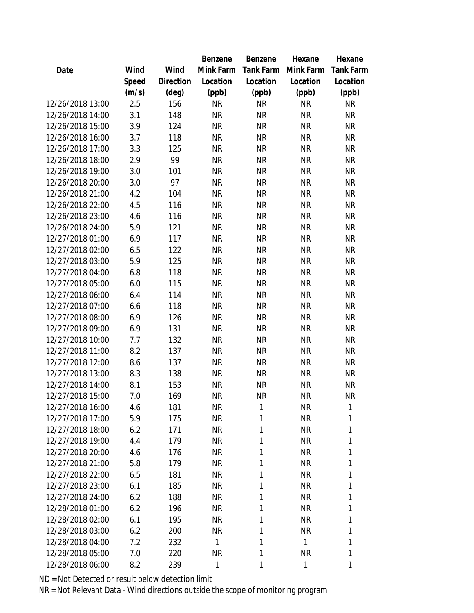|                  |       |                | Benzene   | Benzene          | Hexane    | Hexane           |
|------------------|-------|----------------|-----------|------------------|-----------|------------------|
| Date             | Wind  | Wind           | Mink Farm | <b>Tank Farm</b> | Mink Farm | <b>Tank Farm</b> |
|                  | Speed | Direction      | Location  | Location         | Location  | Location         |
|                  | (m/s) | $(\text{deg})$ | (ppb)     | (ppb)            | (ppb)     | (ppb)            |
| 12/26/2018 13:00 | 2.5   | 156            | <b>NR</b> | <b>NR</b>        | <b>NR</b> | <b>NR</b>        |
| 12/26/2018 14:00 | 3.1   | 148            | <b>NR</b> | <b>NR</b>        | <b>NR</b> | <b>NR</b>        |
| 12/26/2018 15:00 | 3.9   | 124            | <b>NR</b> | <b>NR</b>        | <b>NR</b> | <b>NR</b>        |
| 12/26/2018 16:00 | 3.7   | 118            | <b>NR</b> | <b>NR</b>        | <b>NR</b> | <b>NR</b>        |
| 12/26/2018 17:00 | 3.3   | 125            | <b>NR</b> | <b>NR</b>        | <b>NR</b> | <b>NR</b>        |
| 12/26/2018 18:00 | 2.9   | 99             | <b>NR</b> | <b>NR</b>        | <b>NR</b> | <b>NR</b>        |
| 12/26/2018 19:00 | 3.0   | 101            | <b>NR</b> | <b>NR</b>        | <b>NR</b> | <b>NR</b>        |
| 12/26/2018 20:00 | 3.0   | 97             | <b>NR</b> | <b>NR</b>        | <b>NR</b> | <b>NR</b>        |
| 12/26/2018 21:00 | 4.2   | 104            | <b>NR</b> | <b>NR</b>        | <b>NR</b> | <b>NR</b>        |
| 12/26/2018 22:00 | 4.5   | 116            | <b>NR</b> | <b>NR</b>        | <b>NR</b> | <b>NR</b>        |
| 12/26/2018 23:00 | 4.6   | 116            | <b>NR</b> | <b>NR</b>        | <b>NR</b> | <b>NR</b>        |
| 12/26/2018 24:00 | 5.9   | 121            | <b>NR</b> | <b>NR</b>        | <b>NR</b> | <b>NR</b>        |
| 12/27/2018 01:00 | 6.9   | 117            | <b>NR</b> | <b>NR</b>        | <b>NR</b> | <b>NR</b>        |
| 12/27/2018 02:00 | 6.5   | 122            | <b>NR</b> | <b>NR</b>        | <b>NR</b> | <b>NR</b>        |
| 12/27/2018 03:00 | 5.9   | 125            | <b>NR</b> | <b>NR</b>        | <b>NR</b> | <b>NR</b>        |
| 12/27/2018 04:00 | 6.8   | 118            | <b>NR</b> | <b>NR</b>        | <b>NR</b> | <b>NR</b>        |
| 12/27/2018 05:00 | 6.0   | 115            | <b>NR</b> | <b>NR</b>        | <b>NR</b> | <b>NR</b>        |
| 12/27/2018 06:00 | 6.4   | 114            | <b>NR</b> | <b>NR</b>        | <b>NR</b> | <b>NR</b>        |
| 12/27/2018 07:00 | 6.6   | 118            | <b>NR</b> | <b>NR</b>        | <b>NR</b> | <b>NR</b>        |
| 12/27/2018 08:00 | 6.9   | 126            | <b>NR</b> | <b>NR</b>        | <b>NR</b> | <b>NR</b>        |
| 12/27/2018 09:00 | 6.9   | 131            | <b>NR</b> | <b>NR</b>        | <b>NR</b> | <b>NR</b>        |
| 12/27/2018 10:00 | 7.7   | 132            | <b>NR</b> | <b>NR</b>        | <b>NR</b> | <b>NR</b>        |
| 12/27/2018 11:00 | 8.2   | 137            | <b>NR</b> | <b>NR</b>        | <b>NR</b> | <b>NR</b>        |
| 12/27/2018 12:00 | 8.6   | 137            | <b>NR</b> | <b>NR</b>        | <b>NR</b> | <b>NR</b>        |
| 12/27/2018 13:00 | 8.3   | 138            | <b>NR</b> | <b>NR</b>        | <b>NR</b> | <b>NR</b>        |
| 12/27/2018 14:00 | 8.1   | 153            | <b>NR</b> | <b>NR</b>        | <b>NR</b> | <b>NR</b>        |
| 12/27/2018 15:00 | 7.0   | 169            | <b>NR</b> | <b>NR</b>        | <b>NR</b> | <b>NR</b>        |
| 12/27/2018 16:00 | 4.6   | 181            | <b>NR</b> | 1                | <b>NR</b> | 1                |
| 12/27/2018 17:00 | 5.9   | 175            | <b>NR</b> | 1                | <b>NR</b> | 1                |
| 12/27/2018 18:00 | 6.2   | 171            | <b>NR</b> | 1                | <b>NR</b> | 1                |
| 12/27/2018 19:00 | 4.4   | 179            | <b>NR</b> | 1                | <b>NR</b> | 1                |
| 12/27/2018 20:00 | 4.6   | 176            | <b>NR</b> | 1                | <b>NR</b> | 1                |
| 12/27/2018 21:00 | 5.8   | 179            | <b>NR</b> | 1                | <b>NR</b> | 1                |
| 12/27/2018 22:00 | 6.5   | 181            | <b>NR</b> | 1                | <b>NR</b> | 1                |
| 12/27/2018 23:00 | 6.1   | 185            | <b>NR</b> | 1                | <b>NR</b> | 1                |
| 12/27/2018 24:00 | 6.2   | 188            | <b>NR</b> | 1                | <b>NR</b> | 1                |
| 12/28/2018 01:00 | 6.2   | 196            | <b>NR</b> | 1                | <b>NR</b> | 1                |
| 12/28/2018 02:00 | 6.1   | 195            | <b>NR</b> | 1                | <b>NR</b> | 1                |
| 12/28/2018 03:00 | 6.2   | 200            | <b>NR</b> | 1                | <b>NR</b> | 1                |
| 12/28/2018 04:00 | 7.2   | 232            | 1         | 1                | 1         | 1                |
| 12/28/2018 05:00 | 7.0   | 220            | NR        | 1                | <b>NR</b> | 1                |
| 12/28/2018 06:00 | 8.2   | 239            | 1         | 1                | 1         | 1                |